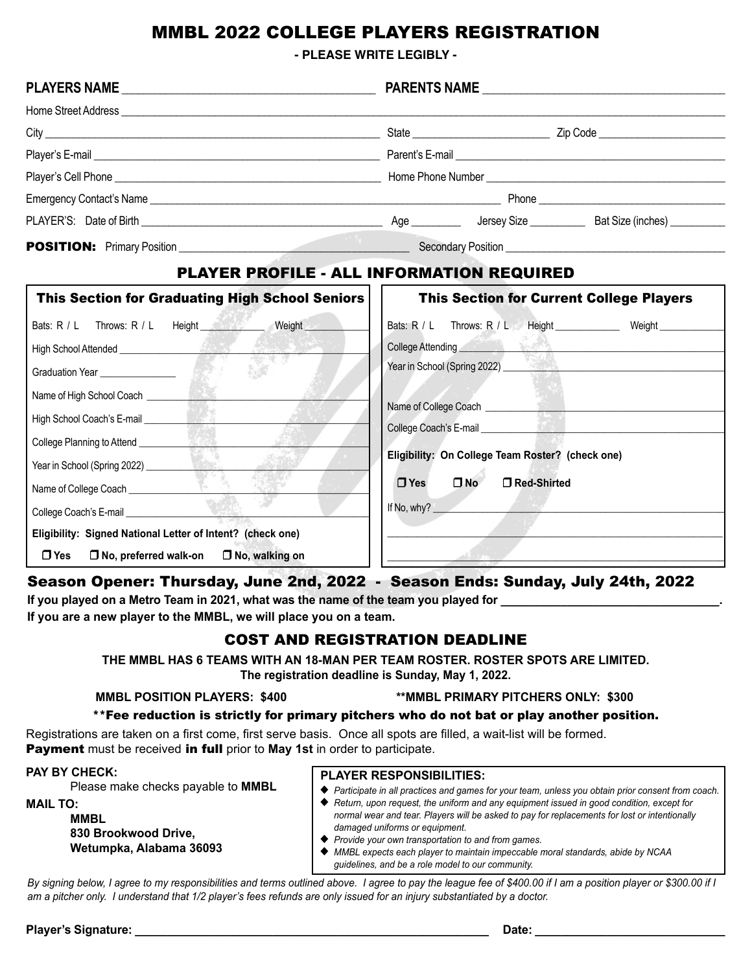# MMBL 2022 COLLEGE PLAYERS REGISTRATION

**- PLEASE WRITE LEGIBLY -**

|                                                                                                                                                                                                                                      | <b>PARENTS NAME</b>                                                                                                                                                                                                                   |
|--------------------------------------------------------------------------------------------------------------------------------------------------------------------------------------------------------------------------------------|---------------------------------------------------------------------------------------------------------------------------------------------------------------------------------------------------------------------------------------|
|                                                                                                                                                                                                                                      |                                                                                                                                                                                                                                       |
|                                                                                                                                                                                                                                      |                                                                                                                                                                                                                                       |
|                                                                                                                                                                                                                                      |                                                                                                                                                                                                                                       |
|                                                                                                                                                                                                                                      |                                                                                                                                                                                                                                       |
|                                                                                                                                                                                                                                      |                                                                                                                                                                                                                                       |
|                                                                                                                                                                                                                                      |                                                                                                                                                                                                                                       |
|                                                                                                                                                                                                                                      |                                                                                                                                                                                                                                       |
| PLAYER PROFILE - ALL INFORMATION REQUIRED                                                                                                                                                                                            |                                                                                                                                                                                                                                       |
| <b>This Section for Graduating High School Seniors</b>                                                                                                                                                                               | <b>This Section for Current College Players</b>                                                                                                                                                                                       |
| Bats: R / L Throws: R / L Height Weight Weight                                                                                                                                                                                       | Bats: R / L Throws: R / L Height Weight Weight                                                                                                                                                                                        |
| High School Attended <u>Contains and the set of the set of the set of the set of the set of the set of the set of the set of the set of the set of the set of the set of the set of the set of the set of the set of the set of </u> | College Attending <b>College Attending</b>                                                                                                                                                                                            |
| 服装<br>Graduation Year ________________                                                                                                                                                                                               | Year in School (Spring 2022)<br><u>Letter and the second second</u> state of the second second second second second second second second second second second second second second second second second second second second second s |
|                                                                                                                                                                                                                                      |                                                                                                                                                                                                                                       |
| High School Coach's E-mail League and School Coach's E-mail                                                                                                                                                                          | Name of College Coach <u>Collective</u>                                                                                                                                                                                               |
| College Planning to Attend <b>College Planning to Attend</b>                                                                                                                                                                         |                                                                                                                                                                                                                                       |
| Year in School (Spring 2022)                                                                                                                                                                                                         | Eligibility: On College Team Roster? (check one)                                                                                                                                                                                      |
| Name of College Coach _______________                                                                                                                                                                                                | $\n  no\n$<br>$\Box$ Yes<br>□ Red-Shirted                                                                                                                                                                                             |
| College Coach's E-mail<br>Letter and College Coach's E-mail                                                                                                                                                                          | If No, why?                                                                                                                                                                                                                           |
| Eligibility: Signed National Letter of Intent? (check one)                                                                                                                                                                           |                                                                                                                                                                                                                                       |

r **Yes** r **No, preferred walk-on** r **No, walking on**

# Season Opener: Thursday, June 2nd, 2022 - Season Ends: Sunday, July 24th, 2022

If you played on a Metro Team in 2021, what was the name of the team you played for

**If you are a new player to the MMBL, we will place you on a team.** 

# COST AND REGISTRATION DEADLINE

**THE MMBL HAS 6 TEAMS WITH AN 18-MAN PER TEAM ROSTER. ROSTER SPOTS ARE LIMITED. The registration deadline is Sunday, May 1, 2022.**

### **MMBL POSITION PLAYERS: \$400 \*\*MMBL PRIMARY PITCHERS ONLY: \$300**

 $\mathcal{R} \rightarrow \mathbb{R}$ 

### \*\*Fee reduction is strictly for primary pitchers who do not bat or play another position.

Registrations are taken on a first come, first serve basis. Once all spots are filled, a wait-list will be formed. Payment must be received in full prior to **May 1st** in order to participate.

#### **PAY BY CHECK:**

Please make checks payable to **MMBL**

**MAIL TO:** 

**MMBL 830 Brookwood Drive, Wetumpka, Alabama 36093** 

### **PLAYER RESPONSIBILITIES:**

- ◆ Participate in all practices and games for your team, unless you obtain prior consent from coach.
- ◆ Return, upon request, the uniform and any equipment issued in good condition, except for *normal wear and tear. Players will be asked to pay for replacements for lost or intentionally damaged uniforms or equipment.*
- ◆ *Provide your own transportation to and from games.*
- u *MMBL expects each player to maintain impeccable moral standards, abide by NCAA guidelines, and be a role model to our community.*

By signing below, I agree to my responsibilities and terms outlined above. I agree to pay the league fee of \$400.00 if I am a position player or \$300.00 if I *am a pitcher only. I understand that 1/2 player's fees refunds are only issued for an injury substantiated by a doctor.* 

**Player's Signature: \_\_\_\_\_\_\_\_\_\_\_\_\_\_\_\_\_\_\_\_\_\_\_\_\_\_\_\_\_\_\_\_\_\_\_\_\_\_\_\_\_\_\_\_\_\_\_\_\_\_\_\_\_\_ Date: \_\_\_\_\_\_\_\_\_\_\_\_\_\_\_\_\_\_\_\_\_\_\_\_\_\_\_\_\_**